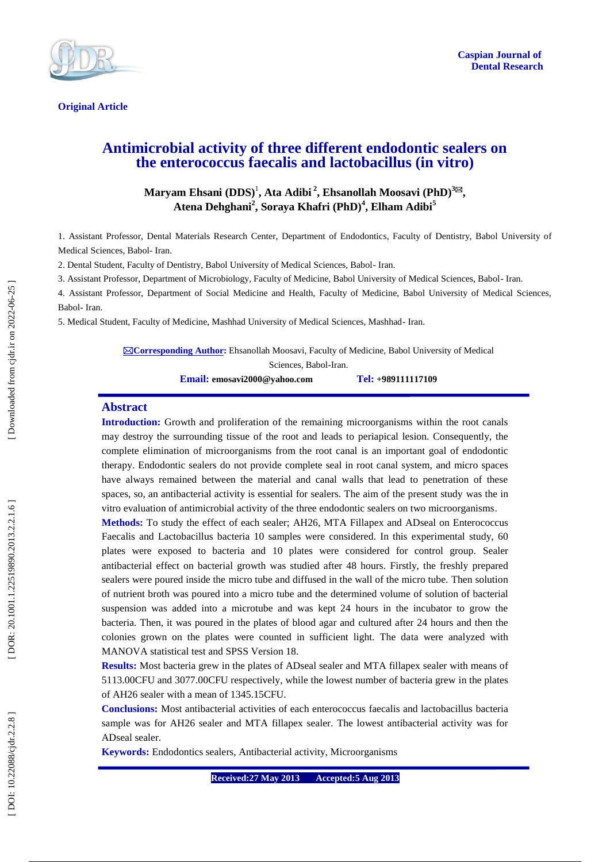

**Original Article** 

# **Antimicrobial activity of three different endodontic sealers on the enterococcus faecalis and lactobacillus (in vitro)**

# **Maryam Ehsani (DDS)** 1 **, Ata Adibi 2 , Ehsanollah Moosavi (PhD) 3 , Atena Dehghani 2 , Soraya Khafri (PhD) 4 , Elham Adibi 5**

1. Assistant Professor, Dental Materials Research Center, Department of Endodontic s, Faculty of Dentistry, Babol University of Medical Sciences, Babol - Iran.

2. Dental Student, Faculty of Dentistry, Babol University of Medical Sciences, Babol - Iran.

3. Assistant Professor, Department of Microbiology, Faculty of Medicine, Babol University of Medical Sciences, Babol - Iran.

4. Assistant Professor, Department of Social Medicine and Health, Faculty of Medicine, Babol University of Medical Sciences, Babol- Iran.

5. Medical Student, Faculty of Medicine, Mashhad University of Medical Sciences, Mashhad - Iran.

**Corresponding Author :** Ehsanollah Moosavi, Faculty of Medicine, Babol University of Medical Sciences, Babol -Iran. **Email: emosavi2000@yahoo.com Tel: +989111117109**

#### **Abstract**

**Introduction :** Growth and proliferation of the remaining microorganisms within the root canals may destroy the surrounding tissue of the root and leads to periapical lesion. Consequently, the complete elimination of microorganisms from the root canal is an important goal of endodontic therapy. Endodontic sealers do not provide complete seal in root canal system, and micro spaces have always remained between the material and canal walls that lead to penetration of these spaces, so, an antibacterial activity is essential for sealers. The aim of the present study was the in vitro evaluation of antimicrobial activity of the three endodontic sealers on two microorganisms .

**Methods:** To study the effect of each sealer; AH26, MTA Fillapex and ADseal on Enterococcus Faecalis and Lactobacillus bacteria 10 samples were considered. In this experimental study, 60 plates were exposed to bacteria and 10 plates were considered for control group. Sealer antibacterial effect on bacterial growth was studied after 48 hours. Firstly, the freshly prepared sealers were poured inside the micro tube and diffused in the wall of the micro tube. Then solution of nutrient broth was poured into a micro tube and the determined volume of solution of bacterial suspension was added into a microtube and was kept 24 hours in the incubator to grow the bacteria. Then, it was poured in the plates of blood agar and cultured after 24 hours and then the colonies grown on the plates were counted in sufficient light. The data were analyzed with MANOVA statistical test and SPSS Version 18.

**Results:** Most bacteria grew in the plates of ADseal sealer and MTA fillapex sealer with means of 5113.00CFU and 3077.00CFU respectively, while the lowest number of bacteria grew in the plates of AH26 sealer with a mean of 1345.15CFU.

**Conclusions:** Most antibacterial activities of each enterococcus faecalis and lactobacillus bacteria sample was for AH26 sealer and MTA fillapex sealer. The lowest antibacterial activity was for ADseal sealer.

**Keywords:** Endodontics sealers, Antibacterial activity, Microorganisms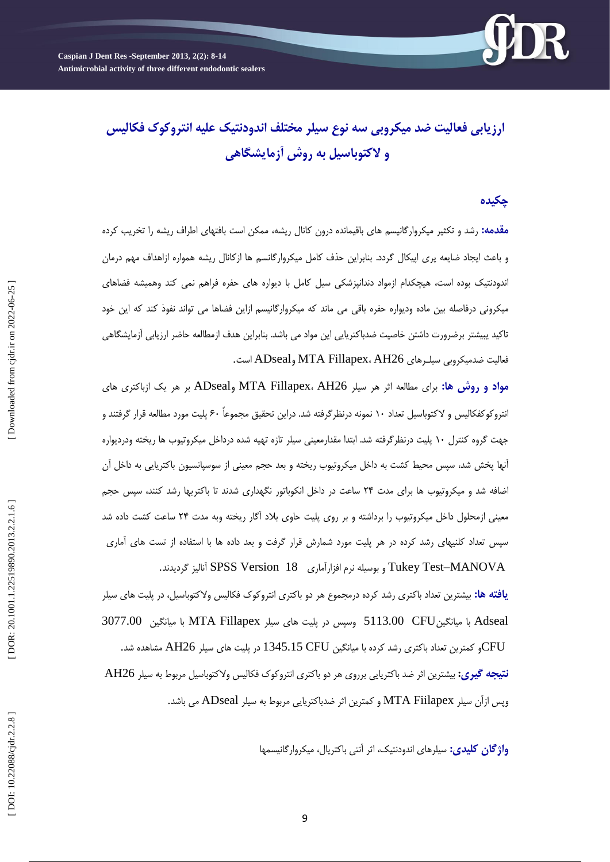# **ارزيابی فعاليت ضذ ميکروبی سه نوع سيلر مختلف انذودنتيک عليه انتروکوک فکاليس و الکتوباسيل به روش آزمايشگاهی**

# **چکيذه**

<mark>مقدمه:</mark> رشد و تکثیر میکروارگانیسم های باقیمانده درون کانال ریشه، ممکن است بافتهای اطراف ریشه را تخریب کرده و باعث ایجاد ضایعه پری اپیکال گردد. بنابراین حذف کامل میکروارگانسم ها ازکانال ریشه همواره ازاهداف مهم درمان اندودنتیک بوده است، هیچکدام ازمواد دندانپزشکی سیل کامل با دیواره های حفره فراهم نمی کند وهمیشه فضاهای میکرونی درفاصله بین ماده ودیواره حفره باقی می ماند که میکروارگانیسم ازاین فضاها می تواند نفوذ کند که این خود تاکید یبیشتر برضرورت داشتن خاصیت ضدباکتریایی این مواد می باشد. بنابراین هدف ازمطالعه حاضر ارزیابی آزمایشگاهی<br>فعالیت ضدمیکروبی سیلـرهای MTA Fillapex، AH26 وADseal است.

<mark>مواد و روش ها:</mark> برای مطالعه اثر هر سیلر MTA Fillapex، AH26 وADseal بر هر یک ازباکتری های انتروکوکفکالیس و لاکتوباسیل تعداد ۱۰ نمونه درنظرگرفته شد. دراین تحقیق مجموعاً ۶۰ پلیت مورد مطالعه قرار گرفتند و جهت گروه کنترل ۱۰ پلیت درنظرگرفته شد. ابتدا مقدارمعینی سیلر تازه تهیه شده درداخل میکروتیوب ها ریخته ودردیواره آنها پخش شد، سپس محیط کشت به داخل میکروتیوب ریخته و بعد حجم معینی از سوسپانسیون باکتریایی به داخل آن اضافه شد و میکروتیوب ها برای مدت ۲۴ ساعت در داخل انکوباتور نگهداری شدند تا باکتریها رشد کنند، سپس حجم معینی ازمحلول داخل میکروتیوب را برداشته و بر روی پلیت حاوی بلاد آگار ریخته وبه مدت ۲۴ ساعت کشت داده شد سپس تعداد کلنیهای رشد کرده در هر پلیت مورد شمارش قرار گرفت و بعد داده ها با استفاده از تست های آماری<br>Tukey Test–MANOVA و بوسیله نرم افزارآماری SPSS Version 18 آنالیز گردیدند.

**یافته ها:** بیشترین تعداد باکتری رشد کرده درمجموع هر دو باکتری انتروکوک فکالیس ولاکتوباسیل، در پلیت های سیلر Adseal با میانگینGFU وسپس در پلیت های سیلر MTA Fillapex با میانگین  $\sim$  40.77.00 و کمترین تعداد باکتری رشد کرده با میانگین 1345.15 CFU در پلیت های سیلر AH26 مشاهده شد. $\textrm{CFU}$ **نتيجه گيري:** بيشترين اثر ضد باکتريايی برروی هر دو باکتری انتروکوک فکاليس ولاکتوباسيل مربوط به سيلر AH26

وپس ازآن سیلر MTA Fiilapex و کمترین اثر ضدباکتریایی مربوط به سیلر ADseal می باشد.

**واژگان کلیدی:** سیلرهای اندودنتیک، اثر انتی باکتریال، میکروارگانیسمها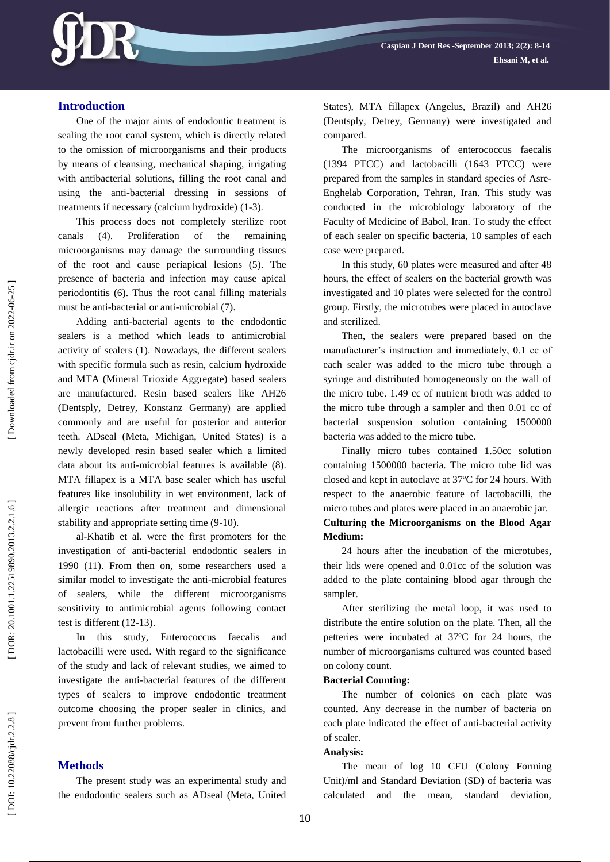

## **Introduction**

One of the major aims of endodontic treatment is sealing the root canal system, which is directly related to the omission of microorganisms and their products by means of cleansing, mechanical shaping, irrigating with antibacterial solutions, filling the root canal and using the anti -bacterial dressing in sessions of treatments if necessary (calcium hydroxide) (1 -3).

This process does not completely sterilize root canals (4). Proliferation of the remaining microorganisms may damage the surrounding tissues of the root and cause periapical lesions (5). The presence of bacteria and infection may cause apical periodontitis (6). Thus the root canal filling materials must be anti-bacterial or anti-microbial (7).

Adding anti -bacterial agents to the endodontic sealers is a method which leads to antimicrobial activity of sealers (1). Nowadays, the different sealers with specific formula such as resin, calcium hydroxide and MTA (Mineral Trioxide Aggregate) based sealers are manufactured. Resin based sealers like AH26 (Dentsply, Detrey, Konstanz Germany) are applied commonly and are useful for posterior and anterior teeth. ADseal (Meta, Michigan, United States) is a newly developed resin based sealer which a limited data about its anti -microbial features is available (8). MTA fillapex is a MTA base sealer which has useful features like insolubility in wet environment, lack of allergic reactions after treatment and dimensional stability and appropriate setting time (9-10).

a l -Khatib et al. were the first promoters for the investigation of anti -bacterial endodontic sealers in 1990 (11). From then on, some researchers used a similar model to investigate the anti -microbial features sealers, while the different microorganisms sensitivity to antimicrobial agents following contact test is different (12 -13).

In this study, Enterococcus faecalis and lactobacilli were used. With regard to the significance of the study and lack of relevant studies, we aimed to investigate the anti -bacterial features of the different types of sealers to improve endodontic treatment outcome choosing the proper sealer in clinics, and prevent from further problems.

## **Methods**

The present study was an experimental study and the endodontic sealers such as ADseal (Meta, United States), MTA fillapex (Angelus, Brazil) and AH26 (Dentsply, Detrey, Germany) were investigated and compared.

The microorganisms of enterococcus faecalis (1394 PTCC) and lactobacilli (1643 PTCC) were prepared from the samples in standard species of Asre - Enghelab Corporation, Tehran, Iran. This study was conducted in the microbiology laboratory of the Faculty of Medicine of Babol, Iran. To study the effect of each sealer on specific bacteria, 10 samples of each case were prepared.

In this study, 60 plates were measured and after 48 hours, the effect of sealers on the bacterial growth was investigated and 10 plates were selected for the control group. Firstly, the microtubes were placed in autoclave and sterilized.

Then, the sealers were prepared based on the manufacturer's instruction and immediately, 0.1 cc of each sealer was added to the micro tube through a syringe and distributed homogeneously on the wall of the micro tube. 1.49 cc of nutrient broth was added to the micro tube through a sampler and then 0.01 cc of bacterial suspension solution containing 1500000 bacteria was added to the micro tube.

Finally micro tubes contained 1.50cc solution containing 1500000 bacteria. The micro tube lid was closed and kept in autoclave at 37ºC for 24 hours. With respect to the anaerobic feature of lactobacilli, the micro tubes and plates were placed in an anaerobic jar.

## **Culturing the Microorganisms on the Blood Agar Medium :**

24 hours after the incubation of the microtubes, their lids were opened and 0.01cc of the solution was added to the plate containing blood agar through the sampler.

After sterilizing the metal loop, it was used to distribute the entire solution on the plate. Then, all the petteries were incubated at 37ºC for 24 hours, the number of microorganisms cultured was counted based on colony count.

#### **Bacterial Counting:**

The number of colonies on each plate was counted. Any decrease in the number of bacteria on each plate indicated the effect of anti -bacterial activity of sealer.

#### **Analysis:**

The mean of log 10 CFU (Colony Forming Unit)/ml and Standard Deviation (SD) of bacteria was calculated and the mean, standard deviation,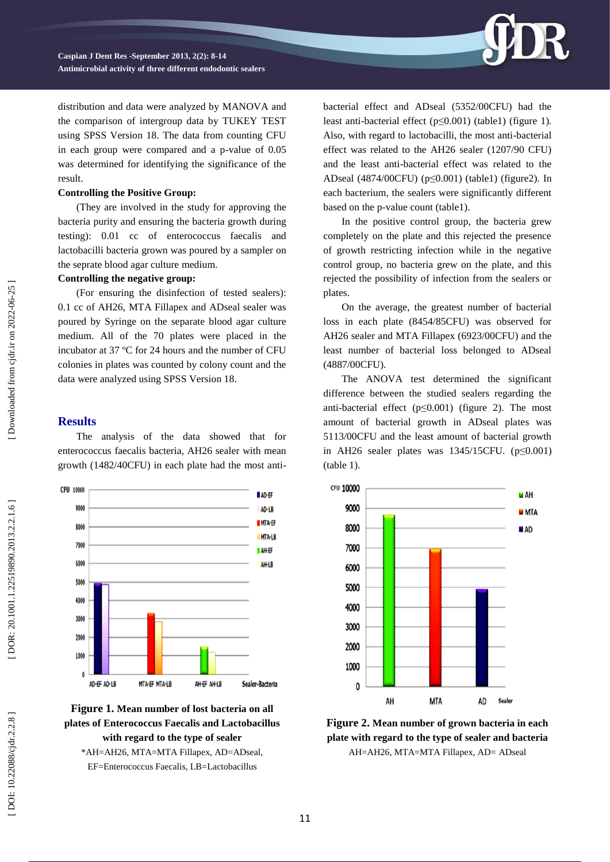

**Caspian J Dent Res -September 201 3, 2 ( 2): 8 - 1 4 Antimicrobial activity of three different endodontic sealers**

distribution and data were analyzed by MANOVA and the comparison of intergroup data by TUKEY TEST using SPSS Version 18. The data from counting CFU in each group were compared and a p -value of 0.05 was determined for identifying the significance of the result.

#### **Controlling the Positive Group:**

(They are involved in the study for approving the bacteria purity and ensuring the bacteria growth during testing) : 0.01 cc of enterococcus faecalis and lactobacilli bacteria grown was poured by a sampler on the seprate blood agar culture medium.

#### **Controlling the negative group:**

(For ensuring the disinfection of tested sealers): 0.1 cc of AH26, MTA Fillapex and ADseal sealer was poured by Syringe on the separate blood agar culture medium. All of the 70 plates were placed in the incubator at 37 ºC for 24 hours and the number of CFU colonies in plates was counted by colony count and the data were analyzed using SPSS Version 18 .

## **Results**

The analysis of the data showed that for enterococcus faecalis bacteria, AH26 sealer with mean growth (1482/40CFU) in each plate had the most anti -





\*AH=AH26, MTA=MTA Fillapex, AD=ADseal, EF=Enterococcus Faecalis, LB=Lactobacillus

bacterial effect and ADseal (5352/00CFU) had the least anti-bacterial effect (p≤0.001) (table1) (figure 1). Also, with regard to lactobacilli, the most anti -bacterial effect was related to the AH26 sealer (1207/90 CFU) and the least anti -bacterial effect was related to the ADseal (4874/00CFU) (p≤0.001) (table1) (figure2). In each bacterium, the sealers were significantly different based on the p -value count ( table1).

In the positive control group, the bacteria grew completely on the plate and this rejected the presence of growth restricting infection while in the negative control group, no bacteria grew on the plate, and this rejected the possibility of infection from the sealers or plates.

On the average, the greatest number of bacterial loss in each plate (8454/85CFU) was observed for AH26 sealer and MTA Fillapex (6923/00CFU) and the least number of bacterial loss belonged to ADseal (4887/00CFU).

The ANOVA test determined the significant difference between the studied sealers regarding the anti-bacterial effect  $(p \le 0.001)$  (figure 2). The most amount of bacterial growth in ADseal plates was 5113/00CFU and the least amount of bacterial growth in AH26 sealer plates was  $1345/15$ CFU. ( $p \le 0.001$ ) ( table 1).



**Figure 2. Mean number of grown bacteria in each plate with regard to the type of sealer and bacteria** AH=AH26, MTA=MTA Fillapex, AD= ADseal

Downloaded from cjdr.ir on 2022-06-25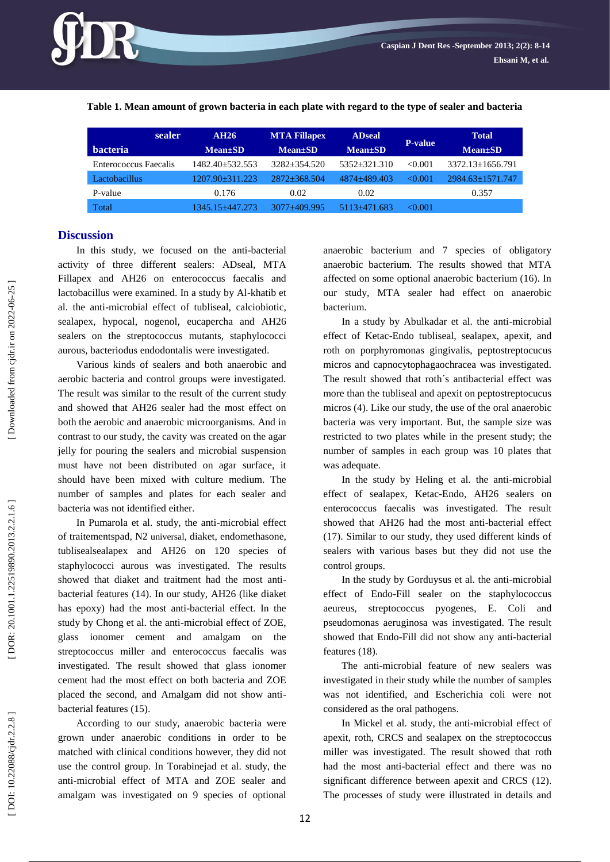#### **Table 1. Mean amount of grown bacteria in each plate with regard to the type of sealer and bacteria**

| sealer                       | <b>AH26</b>           | <b>MTA Fillapex</b> | <b>ADseal</b>  | <b>P-value</b> | <b>Total</b>           |
|------------------------------|-----------------------|---------------------|----------------|----------------|------------------------|
| <b>bacteria</b>              | $Mean \pm SD$         | $Mean \pm SD$       | $Mean \pm SD$  |                | $Mean \pm SD$          |
| <b>Enterococcus</b> Faecalis | 1482.40+532.553       | $3282 + 354.520$    | $5352+321.310$ | < 0.001        | $3372.13 \pm 1656.791$ |
| Lactobacillus                | $1207.90 \pm 311.223$ | $2872 + 368.504$    | 4874+489.403   | $\leq 0.001$   | $2984.63 \pm 1571.747$ |
| P-value                      | 0.176                 | 0.02                | 0.02           |                | 0.357                  |
| Total                        | 1345.15+447.273       | $3077 + 409.995$    | 5113+471.683   | < 0.001        |                        |

## **Discussion**

In this study, we focused on the anti -bacterial activity of three different sealers: ADseal, MTA Fillapex and AH26 on enterococcus faecalis and lactobacillus were examined. In a study by Al -khatib et al. the anti -microbial effect of tubliseal, calciobiotic, sealapex, hypocal, nogenol, eucapercha and AH26 sealers on the streptococcus mutants, staphylococci aurous, bacteriodus endodontalis were investigated.

Various kinds of sealers and both anaerobic and aerobic bacteria and control groups were investigated. The result was similar to the result of the current study and showed that AH26 sealer had the most effect on both the aerobic and anaerobic microorganisms. And in contrast to our study, the cavity was created on the agar jelly for pouring the sealers and microbial suspension must have not been distributed on agar surface, it should have been mixed with culture medium. The number of samples and plates for each sealer and bacteria was not identified either.

In Pumarola et al. study, the anti -microbial effect of traitement spad, N2 universal , diaket, endomethasone, tubliseal sealapex and AH26 on 120 species of staphylococci aurous was investigated. The results showed that diaket and traitment had the most anti bacterial features (14). In our study, AH26 (like diaket has epoxy) had the most anti -bacterial effect. In the study by Chong et al. the anti -microbial effect of ZOE, glass ionomer cement and amalgam on the streptococcus miller and enterococcus faecalis was investigated. The result showed that glass ionomer cement had the most effect on both bacteria and ZOE placed the second, and Amalgam did not show anti bacterial features (15).

According to our study, anaerobic bacteria were grown under anaerobic conditions in order to be matched with clinical conditions however, they did not use the control group. In Torabinejad et al. study, the anti -microbial effect of MTA and ZOE sealer and amalgam was investigated on 9 species of optional

anaerobic bacterium and 7 species of obligatory anaerobic bacterium. The results showed that MTA affected on some optional anaerobic bacterium (16). In our study, MTA sealer had effect on anaerobic bacterium.

In a study by Abulkadar et al. the anti -microbial effect of Ketac -Endo tubliseal, sealapex, apexit, and roth on porphyromonas gingivalis, peptostreptocucus micros and capnocytophagaochracea was investigated. The result showed that roth´s antibacterial effect was more than the tubliseal and apexit on peptostreptocucus micros (4). Like our study, the use of the oral anaerobic bacteria was very important. But, the sample size was restricted to two plates while in the present study; the number of samples in each group was 10 plates that was adequate.

In the study by Heling et al. the anti -microbial effect of sealapex, Ketac -Endo, AH26 sealers on enterococcus faecalis was investigated. The result showed that AH26 had the most anti -bacterial effect (17). Similar to our study, they used different kinds of sealers with various bases but they did not use the control groups.

In the study by Gorduysus et al. the anti-microbial effect of Endo -Fill sealer on the staphylococcus aeureus, streptococcus pyogenes, E. Coli and pseudomonas aeruginosa was investigated. The result showed that Endo -Fill did not show any anti -bacterial features (18).

The anti -microbial feature of new sealers was investigated in their study while the number of samples was not identified, and Escherichia coli were not considered as the oral pathogens.

In Mickel et al . study, the anti -microbial effect of apexit, roth, CRCS and sealapex on the streptococcus miller was investigated. The result showed that roth had the most anti -bacterial effect and there was no significant difference between apexit and CRCS (12). The processes of study were illustrated in details and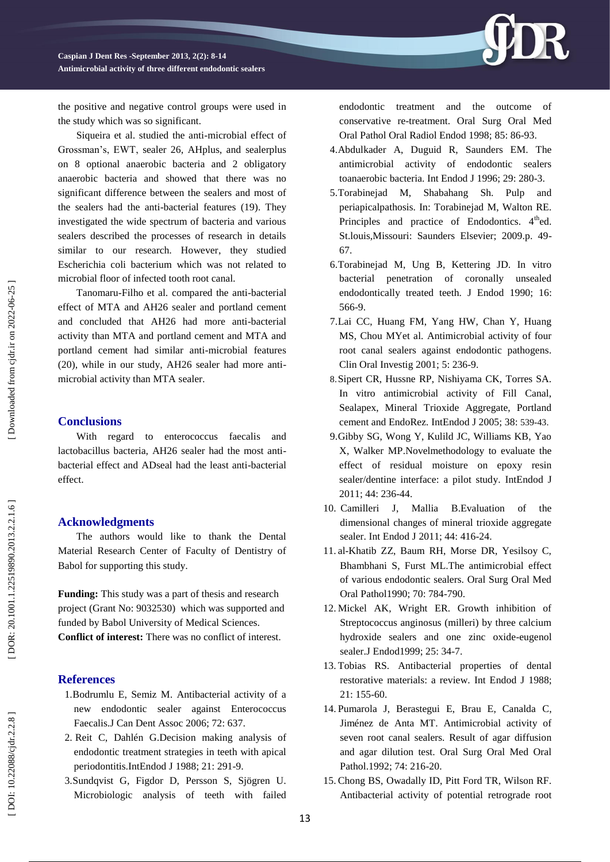

the positive and negative control groups were used in the study which was so significant.

Siqueira et al. studied the anti -microbial effect of Grossman's, EWT, sealer 26, AHplus, and sealerplus on 8 optional anaerobic bacteria and 2 obligatory anaerobic bacteria and showed that there was no significant difference between the sealers and most of the sealers had the anti -bacterial features (19). They investigated the wide spectrum of bacteria and various sealers described the processes of research in details similar to our research. However, they studied Escherichia coli bacterium which was not related to microbial floor of infected tooth root canal.

Tanomaru -Filho et al. compared the anti -bacterial effect of MTA and AH26 sealer and portland cement and concluded that AH26 had more anti -bacterial activity than MTA and portland cement and MTA and portland cement had similar anti -microbial features (20), while in our study, AH26 sealer had more anti microbial activity than MTA sealer.

#### **Conclusions**

With regard to enterococcus faecalis and lactobacillus bacteria, AH26 sealer had the most anti bacterial effect and ADseal had the least anti -bacterial effect.

#### **Acknowledgments**

The authors would like to thank the Dental Material Research Center of Faculty of Dentistry of Babol for supporting this study.

**Funding:** This study was a part of thesis and research project (Grant No: 9032530) which was supported and funded by Babol University of Medical Sciences. **Conflict of interest:** There was no conflict of interest.

#### **References**

- 1[.Bodrumlu E,](http://www.ncbi.nlm.nih.gov/pubmed?term=%22Bodrumlu%20E%22%5BAuthor%5D) [Semiz M](http://www.ncbi.nlm.nih.gov/pubmed?term=%22Semiz%20M%22%5BAuthor%5D) . Antibacterial activity of a new endodontic sealer against Enterococcus Faecalis[.J Can Dent Assoc](http://www.ncbi.nlm.nih.gov/pubmed?term=Bodrumlu%20E%2C%20Semiz%20M.%20Antibacterial%20activity%20of%20a%20new%20endodontic%20sealer%20against%20Enterococcus%20faecalis.%20J%20Can%20Dent%20Assoc%202006%3B72%3A637.) 2006; 72: 637.
- 2 . [Reit C,](http://www.ncbi.nlm.nih.gov/pubmed?term=%22Reit%20C%22%5BAuthor%5D) [Dahlén G](http://www.ncbi.nlm.nih.gov/pubmed?term=%22Dahl%C3%A9n%20G%22%5BAuthor%5D) .Decision making analysis of endodontic treatment strategies in teeth with apical periodontitis[.IntEndod J](http://www.ncbi.nlm.nih.gov/pubmed?term=2.%09Reit%20C%2C%20Dahl%C3%A9n%20G.%20Decision%20making%20analysis%20of%20endodontic%20treatment%20strategies%20in%20teeth%20with%20apical%20periodontitis.%20Int%20Endod%20J%201988%3B21%3A291-9.) 1988; 21: 291 -9.
- 3 .Sundqvist G, Figdor D, Persson S, Sjögren U. Microbiologic analysis of teeth with failed

endodontic treatment and the outcome of conservative re -treatment. Oral Surg Oral Med Oral Pathol Oral Radiol Endod 1998; 85: 86 -93.

- 4 .Abdulkader A, Duguid R, Saunders EM. The antimicrobial activity of endodontic sealers toanaerobic bacteria. Int Endod J 1996; 29: 280 -3.
- 5 .Torabinejad M, Shabahang Sh. Pulp and periapicalpathosis. In: Torabinejad M, Walton RE. Principles and practice of Endodontics.  $4<sup>th</sup>$ ed. St.louis,Missouri: Saunders Elsevier; 2009.p. 49 - 67.
- 6 .Torabinejad M, Ung B, Kettering JD. In vitro bacterial penetration of coronally unsealed endodontically treated teeth. J Endod 1990; 16: 566 -9.
- 7 .Lai CC, Huang FM, Yang HW, Chan Y, Huang MS, Chou MYet al. Antimicrobial activity of four root canal sealers against endodontic pathogens. [Clin Oral Investig](http://www.ncbi.nlm.nih.gov/pubmed?term=7.%09%20Lai%20CC%2C%20Huang%20FM%2C%20Yang%20HW%2C%20Chan%20Y%2C%20Huang%20MS%2C%20Chou%20MY%2C%20Chang%20YC.%20Antimicrobial%20activity%20of%20four%20root%20canal%20sealers%20against%20endodontic%20pathogens.%20Clin%20Oral%20Investig%202001%3B5%3A236-9.) 2001; 5: 236 -9.
- 8 .Sipert CR, Hussne RP, Nishiyama CK, Torres SA. In vitro antimicrobial activity of Fill Canal, Sealapex, Mineral Trioxide Aggregate, Portland cement and EndoRez. [IntEndod J](http://www.ncbi.nlm.nih.gov/pubmed?term=9.%09Sipert%20CR%2C%20Hussne%20RP%2C%20Nishiyama%20CK%2C%20Torres%20SA.%20In%20vitro%20antimicrobial%20activity%20of%20Fill%20Canal%2C%20Sealapex%2C%20Mineral%20Trioxide%20Aggregate%2C%20Portland%20cement%20and%20EndoRez.%20Int%20Endod%20J%202005%3B38%3A539-43.) 2005; 38: 539 -43.
- 9 .Gibby SG, Wong Y, Kulild JC, Williams KB, Yao X, Walker MP .Novelmethodology to evaluate the effect of residual moisture on epoxy resin sealer/dentine interface: a pilot study. [IntEndod J](http://www.ncbi.nlm.nih.gov/pubmed?term=Gibby%20wong%20novel%20methodology%20to%20evaluate%20the%20effect%20of%20moisture) 2011; 44: 236 -44.
- 10 . [Camilleri](http://www.ncbi.nlm.nih.gov/pubmed?term=%22Camilleri%20J%22%5BAuthor%5D)  J, [Mallia](http://www.ncbi.nlm.nih.gov/pubmed?term=%22Mallia%20B%22%5BAuthor%5D) B .Evaluation of the dimensional changes of mineral trioxide aggregate sealer. [Int Endod J](http://www.ncbi.nlm.nih.gov/pubmed?term=canilleri%20mallia%20evaluation%20of%20the%20dimentional) 2011; 44: 416 -24.
- 11 . al -Khatib ZZ, Baum RH, Morse DR, Yesilsoy C, Bhambhani S, Furst ML.The antimicrobial effect of various endodontic sealers. Oral Surg Oral Med Oral Pathol1990; 70: 784 -790.
- 12 . Mickel AK, Wright ER. Growth inhibition of Streptococcus anginosus (milleri) by three calcium hydroxide sealers and one zinc oxide -eugenol sealer.J Endod1999; 25: 34 -7.
- 13 . Tobias RS. Antibacterial properties of dental restorative materials: a review. Int [Endod J](http://www.ncbi.nlm.nih.gov/pubmed/3151895) 1988; 21: 155 -60.
- 14 . Pumarola J, Berastegui E, Brau E, Canalda C, Jiménez de Anta MT. Antimicrobial activity of seven root canal sealers. Result of agar diffusion and agar dilution test. Oral Surg Oral Med Oral Pathol.1992; 74: 216-20.
- 15 . Chong BS, Owadally ID, Pitt Ford TR, Wilson RF. Antibacterial activity of potential retrograde root